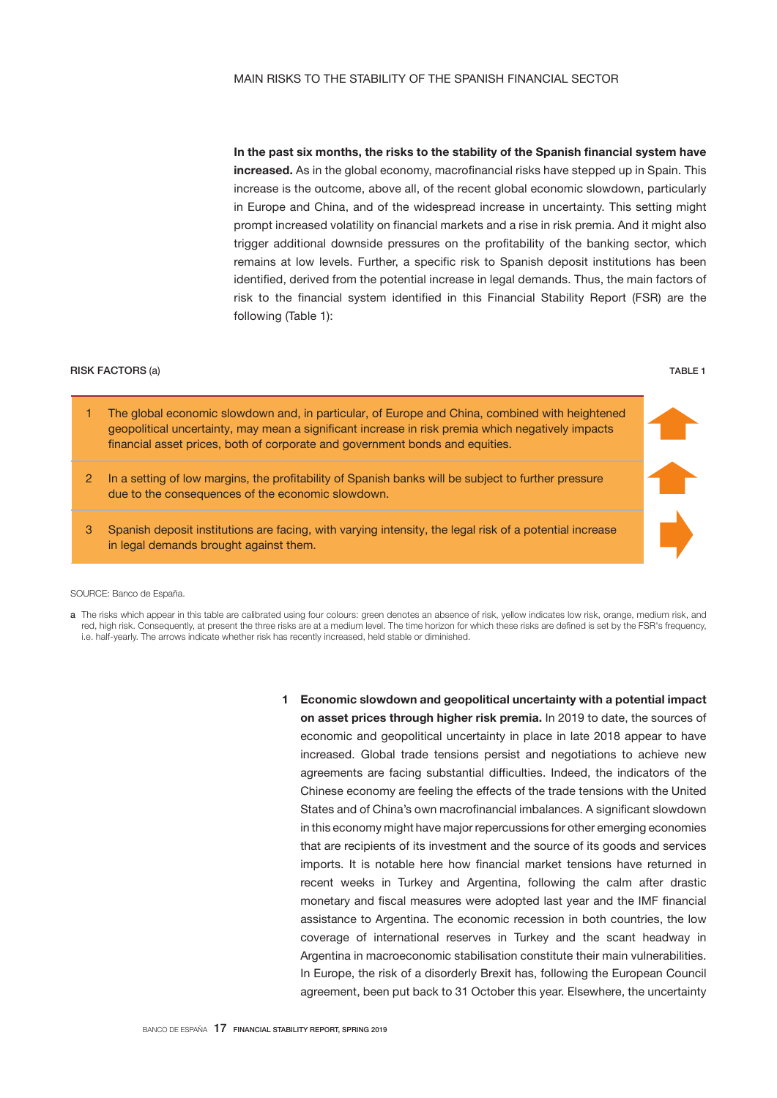In the past six months, the risks to the stability of the Spanish financial system have increased. As in the global economy, macrofinancial risks have stepped up in Spain. This increase is the outcome, above all, of the recent global economic slowdown, particularly in Europe and China, and of the widespread increase in uncertainty. This setting might prompt increased volatility on financial markets and a rise in risk premia. And it might also trigger additional downside pressures on the profitability of the banking sector, which remains at low levels. Further, a specific risk to Spanish deposit institutions has been identified, derived from the potential increase in legal demands. Thus, the main factors of risk to the financial system identified in this Financial Stability Report (FSR) are the following (Table 1):

## RISK FACTORS (a) TABLE 1

1 The global economic slowdown and, in particular, of Europe and China, combined with heightened geopolitical uncertainty, may mean a significant increase in risk premia which negatively impacts financial asset prices, both of corporate and government bonds and equities. 2 In a setting of low margins, the profitability of Spanish banks will be subject to further pressure due to the consequences of the economic slowdown. 3 Spanish deposit institutions are facing, with varying intensity, the legal risk of a potential increase in legal demands brought against them.

## SOURCE: Banco de España.

- a The risks which appear in this table are calibrated using four colours: green denotes an absence of risk, yellow indicates low risk, orange, medium risk, and red, high risk. Consequently, at present the three risks are at a medium level. The time horizon for which these risks are defined is set by the FSR's frequency, i.e. half-yearly. The arrows indicate whether risk has recently increased, held stable or diminished.
	- 1 Economic slowdown and geopolitical uncertainty with a potential impact on asset prices through higher risk premia. In 2019 to date, the sources of economic and geopolitical uncertainty in place in late 2018 appear to have increased. Global trade tensions persist and negotiations to achieve new agreements are facing substantial difficulties. Indeed, the indicators of the Chinese economy are feeling the effects of the trade tensions with the United States and of China's own macrofinancial imbalances. A significant slowdown in this economy might have major repercussions for other emerging economies that are recipients of its investment and the source of its goods and services imports. It is notable here how financial market tensions have returned in recent weeks in Turkey and Argentina, following the calm after drastic monetary and fiscal measures were adopted last year and the IMF financial assistance to Argentina. The economic recession in both countries, the low coverage of international reserves in Turkey and the scant headway in Argentina in macroeconomic stabilisation constitute their main vulnerabilities. In Europe, the risk of a disorderly Brexit has, following the European Council agreement, been put back to 31 October this year. Elsewhere, the uncertainty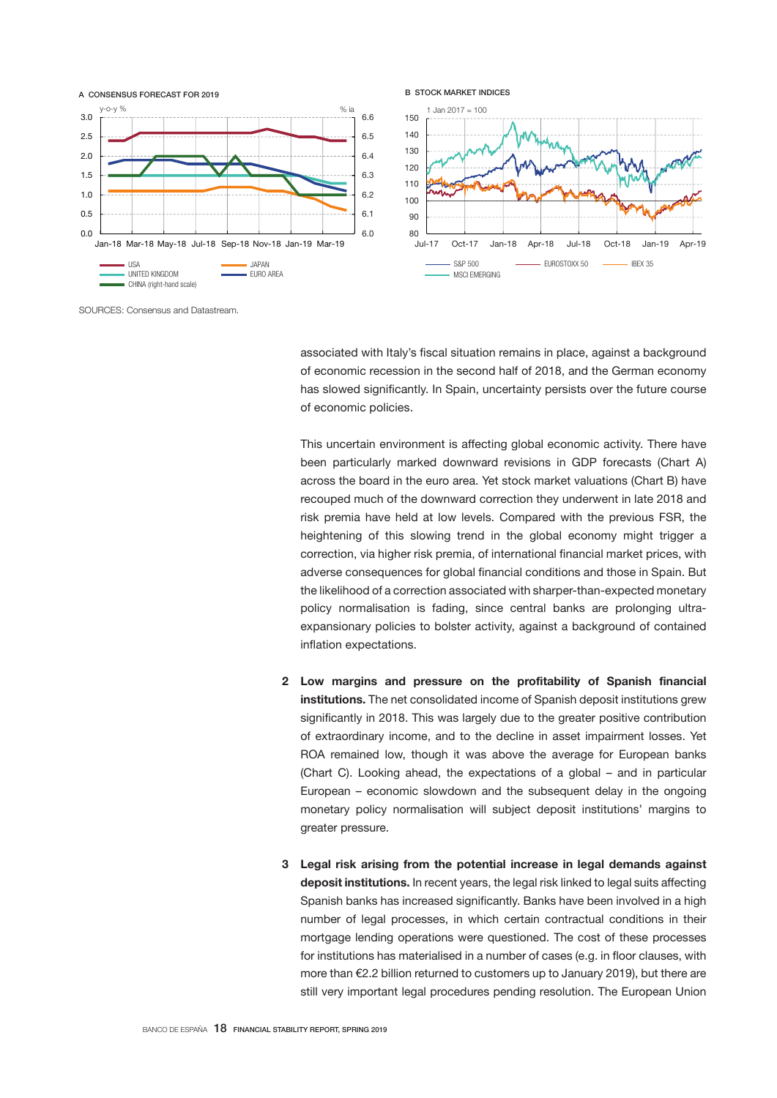

SOURCES: Consensus and Datastream.

associated with Italy's fiscal situation remains in place, against a background of economic recession in the second half of 2018, and the German economy has slowed significantly. In Spain, uncertainty persists over the future course of economic policies.

This uncertain environment is affecting global economic activity. There have been particularly marked downward revisions in GDP forecasts (Chart A) across the board in the euro area. Yet stock market valuations (Chart B) have recouped much of the downward correction they underwent in late 2018 and risk premia have held at low levels. Compared with the previous FSR, the heightening of this slowing trend in the global economy might trigger a correction, via higher risk premia, of international financial market prices, with adverse consequences for global financial conditions and those in Spain. But the likelihood of a correction associated with sharper-than-expected monetary policy normalisation is fading, since central banks are prolonging ultraexpansionary policies to bolster activity, against a background of contained inflation expectations.

- 2 Low margins and pressure on the profitability of Spanish financial institutions. The net consolidated income of Spanish deposit institutions grew significantly in 2018. This was largely due to the greater positive contribution of extraordinary income, and to the decline in asset impairment losses. Yet ROA remained low, though it was above the average for European banks (Chart C). Looking ahead, the expectations of a global – and in particular European – economic slowdown and the subsequent delay in the ongoing monetary policy normalisation will subject deposit institutions' margins to greater pressure.
- 3 Legal risk arising from the potential increase in legal demands against deposit institutions. In recent years, the legal risk linked to legal suits affecting Spanish banks has increased significantly. Banks have been involved in a high number of legal processes, in which certain contractual conditions in their mortgage lending operations were questioned. The cost of these processes for institutions has materialised in a number of cases (e.g. in floor clauses, with more than €2.2 billion returned to customers up to January 2019), but there are still very important legal procedures pending resolution. The European Union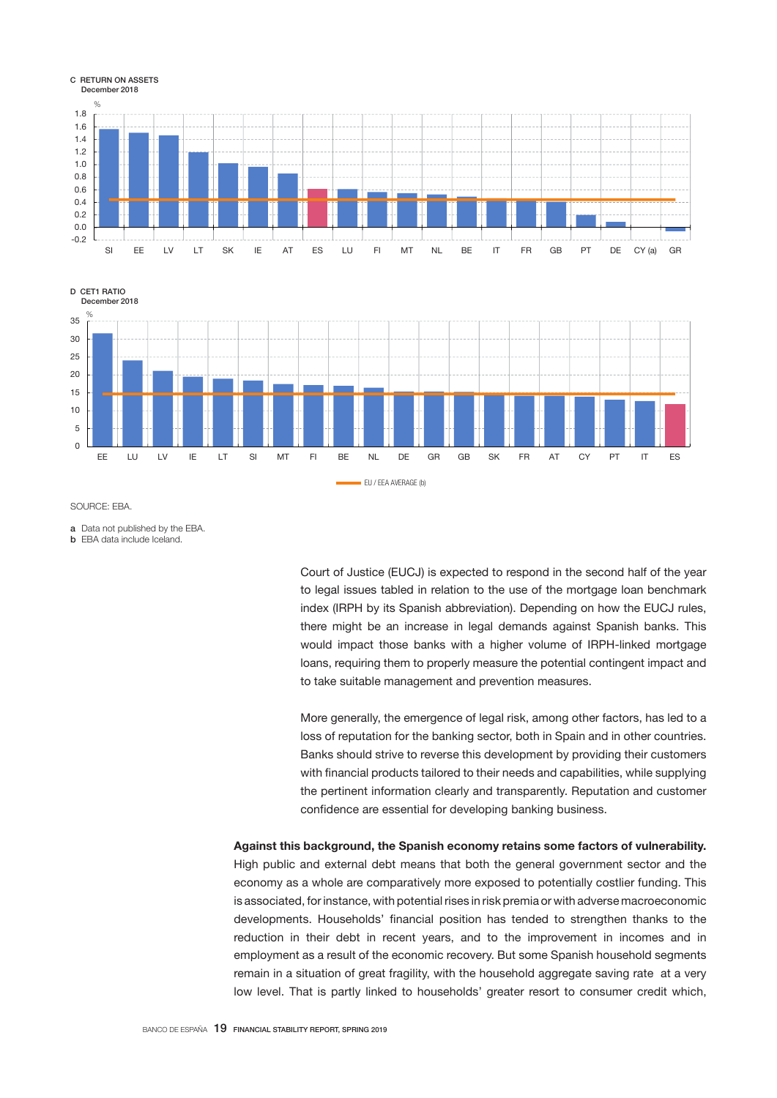

D CET1 RATIO December 2018



SOURCE: EBA.

a Data not published by the EBA.

b EBA data include Iceland.

Court of Justice (EUCJ) is expected to respond in the second half of the year to legal issues tabled in relation to the use of the mortgage loan benchmark index (IRPH by its Spanish abbreviation). Depending on how the EUCJ rules, there might be an increase in legal demands against Spanish banks. This would impact those banks with a higher volume of IRPH-linked mortgage loans, requiring them to properly measure the potential contingent impact and to take suitable management and prevention measures.

More generally, the emergence of legal risk, among other factors, has led to a loss of reputation for the banking sector, both in Spain and in other countries. Banks should strive to reverse this development by providing their customers with financial products tailored to their needs and capabilities, while supplying the pertinent information clearly and transparently. Reputation and customer confidence are essential for developing banking business.

Against this background, the Spanish economy retains some factors of vulnerability. High public and external debt means that both the general government sector and the economy as a whole are comparatively more exposed to potentially costlier funding. This is associated, for instance, with potential rises in risk premia or with adverse macroeconomic developments. Households' financial position has tended to strengthen thanks to the reduction in their debt in recent years, and to the improvement in incomes and in employment as a result of the economic recovery. But some Spanish household segments remain in a situation of great fragility, with the household aggregate saving rate at a very low level. That is partly linked to households' greater resort to consumer credit which,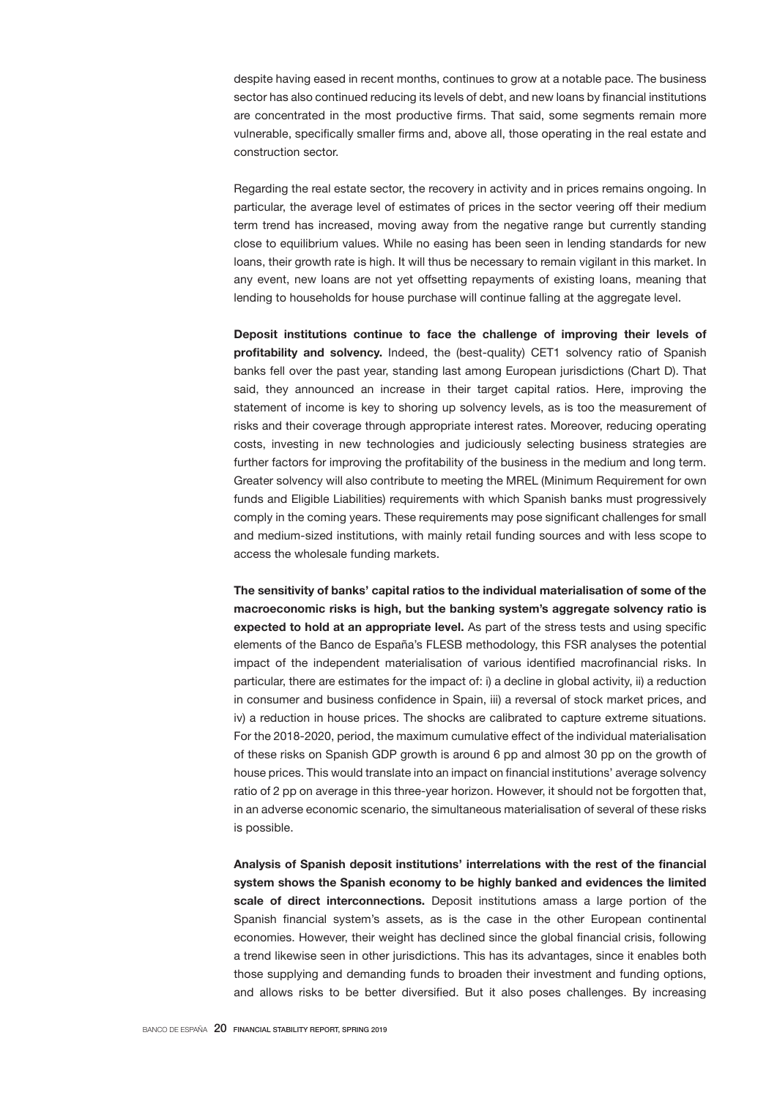despite having eased in recent months, continues to grow at a notable pace. The business sector has also continued reducing its levels of debt, and new loans by financial institutions are concentrated in the most productive firms. That said, some segments remain more vulnerable, specifically smaller firms and, above all, those operating in the real estate and construction sector.

Regarding the real estate sector, the recovery in activity and in prices remains ongoing. In particular, the average level of estimates of prices in the sector veering off their medium term trend has increased, moving away from the negative range but currently standing close to equilibrium values. While no easing has been seen in lending standards for new loans, their growth rate is high. It will thus be necessary to remain vigilant in this market. In any event, new loans are not yet offsetting repayments of existing loans, meaning that lending to households for house purchase will continue falling at the aggregate level.

Deposit institutions continue to face the challenge of improving their levels of profitability and solvency. Indeed, the (best-quality) CET1 solvency ratio of Spanish banks fell over the past year, standing last among European jurisdictions (Chart D). That said, they announced an increase in their target capital ratios. Here, improving the statement of income is key to shoring up solvency levels, as is too the measurement of risks and their coverage through appropriate interest rates. Moreover, reducing operating costs, investing in new technologies and judiciously selecting business strategies are further factors for improving the profitability of the business in the medium and long term. Greater solvency will also contribute to meeting the MREL (Minimum Requirement for own funds and Eligible Liabilities) requirements with which Spanish banks must progressively comply in the coming years. These requirements may pose significant challenges for small and medium-sized institutions, with mainly retail funding sources and with less scope to access the wholesale funding markets.

The sensitivity of banks' capital ratios to the individual materialisation of some of the macroeconomic risks is high, but the banking system's aggregate solvency ratio is expected to hold at an appropriate level. As part of the stress tests and using specific elements of the Banco de España's FLESB methodology, this FSR analyses the potential impact of the independent materialisation of various identified macrofinancial risks. In particular, there are estimates for the impact of: i) a decline in global activity, ii) a reduction in consumer and business confidence in Spain, iii) a reversal of stock market prices, and iv) a reduction in house prices. The shocks are calibrated to capture extreme situations. For the 2018-2020, period, the maximum cumulative effect of the individual materialisation of these risks on Spanish GDP growth is around 6 pp and almost 30 pp on the growth of house prices. This would translate into an impact on financial institutions' average solvency ratio of 2 pp on average in this three-year horizon. However, it should not be forgotten that, in an adverse economic scenario, the simultaneous materialisation of several of these risks is possible.

Analysis of Spanish deposit institutions' interrelations with the rest of the financial system shows the Spanish economy to be highly banked and evidences the limited scale of direct interconnections. Deposit institutions amass a large portion of the Spanish financial system's assets, as is the case in the other European continental economies. However, their weight has declined since the global financial crisis, following a trend likewise seen in other jurisdictions. This has its advantages, since it enables both those supplying and demanding funds to broaden their investment and funding options, and allows risks to be better diversified. But it also poses challenges. By increasing